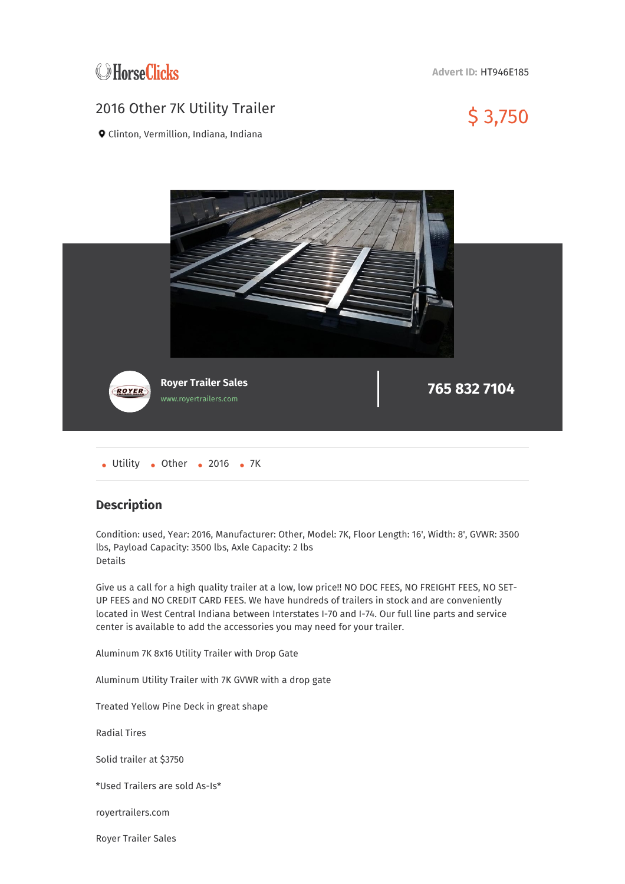

**Advert ID:** HT946E185

## 2016 Other 7K Utility Trailer  $$3,750$



Clinton, Vermillion, Indiana, Indiana



• Utility • Other • 2016 • 7K

## **Description**

Condition: used, Year: 2016, Manufacturer: Other, Model: 7K, Floor Length: 16', Width: 8', GVWR: 3500 lbs, Payload Capacity: 3500 lbs, Axle Capacity: 2 lbs Details

Give us a call for a high quality trailer at a low, low price!! NO DOC FEES, NO FREIGHT FEES, NO SET-UP FEES and NO CREDIT CARD FEES. We have hundreds of trailers in stock and are conveniently located in West Central Indiana between Interstates I-70 and I-74. Our full line parts and service center is available to add the accessories you may need for your trailer.

Aluminum 7K 8x16 Utility Trailer with Drop Gate

Aluminum Utility Trailer with 7K GVWR with a drop gate

Treated Yellow Pine Deck in great shape

Radial Tires

Solid trailer at \$3750

\*Used Trailers are sold As-Is\*

royertrailers.com

Royer Trailer Sales